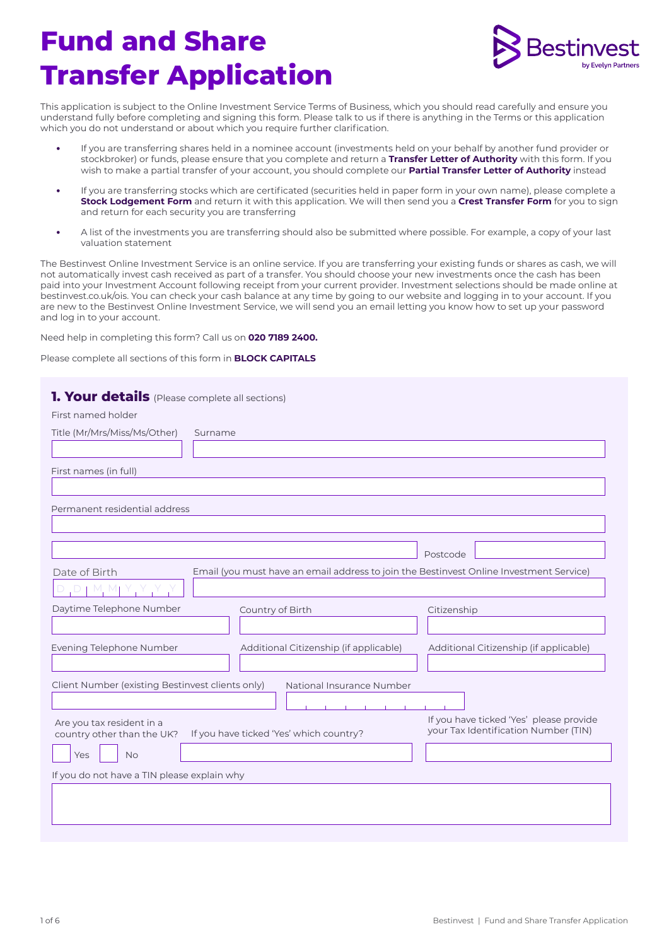# **Fund and Share Transfer Application**



This application is subject to the Online Investment Service Terms of Business, which you should read carefully and ensure you understand fully before completing and signing this form. Please talk to us if there is anything in the Terms or this application which you do not understand or about which you require further clarification.

- **•** If you are transferring shares held in a nominee account (investments held on your behalf by another fund provider or stockbroker) or funds, please ensure that you complete and return a **Transfer Letter of Authority** with this form. If you wish to make a partial transfer of your account, you should complete our **Partial Transfer Letter of Authority** instead
- **•** If you are transferring stocks which are certificated (securities held in paper form in your own name), please complete a **Stock Lodgement Form** and return it with this application. We will then send you a **Crest Transfer Form** for you to sign and return for each security you are transferring
- **•** A list of the investments you are transferring should also be submitted where possible. For example, a copy of your last valuation statement

The Bestinvest Online Investment Service is an online service. If you are transferring your existing funds or shares as cash, we will not automatically invest cash received as part of a transfer. You should choose your new investments once the cash has been paid into your Investment Account following receipt from your current provider. Investment selections should be made online at bestinvest.co.uk/ois. You can check your cash balance at any time by going to our website and logging in to your account. If you are new to the Bestinvest Online Investment Service, we will send you an email letting you know how to set up your password and log in to your account.

Need help in completing this form? Call us on **020 7189 2400.** 

Please complete all sections of this form in **BLOCK CAPITALS**

| <b>1. Your details</b> (Please complete all sections)   |                                                                                         |                                                                                 |
|---------------------------------------------------------|-----------------------------------------------------------------------------------------|---------------------------------------------------------------------------------|
| First named holder                                      |                                                                                         |                                                                                 |
| Title (Mr/Mrs/Miss/Ms/Other)                            | Surname                                                                                 |                                                                                 |
|                                                         |                                                                                         |                                                                                 |
| First names (in full)                                   |                                                                                         |                                                                                 |
| Permanent residential address                           |                                                                                         |                                                                                 |
|                                                         |                                                                                         |                                                                                 |
|                                                         |                                                                                         | Postcode                                                                        |
| Date of Birth                                           | Email (you must have an email address to join the Bestinvest Online Investment Service) |                                                                                 |
| $D + M$ . Mi                                            |                                                                                         |                                                                                 |
| Daytime Telephone Number                                | Country of Birth                                                                        | Citizenship                                                                     |
|                                                         |                                                                                         |                                                                                 |
| Evening Telephone Number                                | Additional Citizenship (if applicable)                                                  | Additional Citizenship (if applicable)                                          |
|                                                         |                                                                                         |                                                                                 |
| Client Number (existing Bestinvest clients only)        | National Insurance Number                                                               |                                                                                 |
|                                                         |                                                                                         |                                                                                 |
| Are you tax resident in a<br>country other than the UK? | If you have ticked 'Yes' which country?                                                 | If you have ticked 'Yes' please provide<br>your Tax Identification Number (TIN) |
| <b>No</b><br>Yes                                        |                                                                                         |                                                                                 |
| If you do not have a TIN please explain why             |                                                                                         |                                                                                 |
|                                                         |                                                                                         |                                                                                 |
|                                                         |                                                                                         |                                                                                 |
|                                                         |                                                                                         |                                                                                 |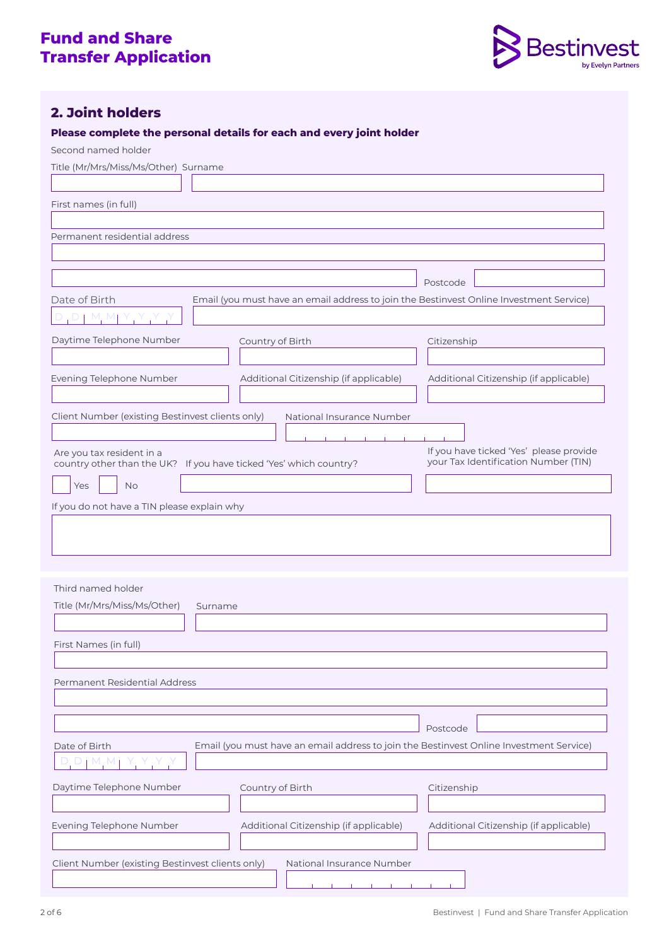

# **2. Joint holders**

### **Please complete the personal details for each and every joint holder**

Second named holder

| Title (Mr/Mrs/Miss/Ms/Other) Surname                                                            |                                                                                         |                                         |
|-------------------------------------------------------------------------------------------------|-----------------------------------------------------------------------------------------|-----------------------------------------|
|                                                                                                 |                                                                                         |                                         |
| First names (in full)                                                                           |                                                                                         |                                         |
|                                                                                                 |                                                                                         |                                         |
| Permanent residential address                                                                   |                                                                                         |                                         |
|                                                                                                 |                                                                                         |                                         |
|                                                                                                 |                                                                                         |                                         |
|                                                                                                 | Email (you must have an email address to join the Bestinvest Online Investment Service) | Postcode                                |
| Date of Birth<br>$D$   M, MJ Y , Y , Y                                                          |                                                                                         |                                         |
|                                                                                                 |                                                                                         |                                         |
| Daytime Telephone Number                                                                        | Country of Birth                                                                        | Citizenship                             |
|                                                                                                 |                                                                                         |                                         |
| Evening Telephone Number                                                                        | Additional Citizenship (if applicable)                                                  | Additional Citizenship (if applicable)  |
|                                                                                                 |                                                                                         |                                         |
| Client Number (existing Bestinvest clients only)                                                | National Insurance Number                                                               |                                         |
|                                                                                                 |                                                                                         | If you have ticked 'Yes' please provide |
| Are you tax resident in a<br>country other than the UK? If you have ticked 'Yes' which country? |                                                                                         | your Tax Identification Number (TIN)    |
| Yes<br><b>No</b>                                                                                |                                                                                         |                                         |
| If you do not have a TIN please explain why                                                     |                                                                                         |                                         |
|                                                                                                 |                                                                                         |                                         |
|                                                                                                 |                                                                                         |                                         |
|                                                                                                 |                                                                                         |                                         |
|                                                                                                 |                                                                                         |                                         |
| Third named holder                                                                              |                                                                                         |                                         |
| Title (Mr/Mrs/Miss/Ms/Other)<br>Surname                                                         |                                                                                         |                                         |
|                                                                                                 |                                                                                         |                                         |
| First Names (in full)                                                                           |                                                                                         |                                         |
|                                                                                                 |                                                                                         |                                         |
| Permanent Residential Address                                                                   |                                                                                         |                                         |
|                                                                                                 |                                                                                         |                                         |
|                                                                                                 |                                                                                         | Postcode                                |
| Date of Birth                                                                                   | Email (you must have an email address to join the Bestinvest Online Investment Service) |                                         |
| $D_1 M_2 M$                                                                                     |                                                                                         |                                         |
| Daytime Telephone Number                                                                        |                                                                                         |                                         |
|                                                                                                 | Country of Birth                                                                        | Citizenship                             |
|                                                                                                 |                                                                                         |                                         |
| Evening Telephone Number                                                                        | Additional Citizenship (if applicable)                                                  | Additional Citizenship (if applicable)  |
|                                                                                                 |                                                                                         |                                         |
| Client Number (existing Bestinvest clients only)                                                | National Insurance Number                                                               |                                         |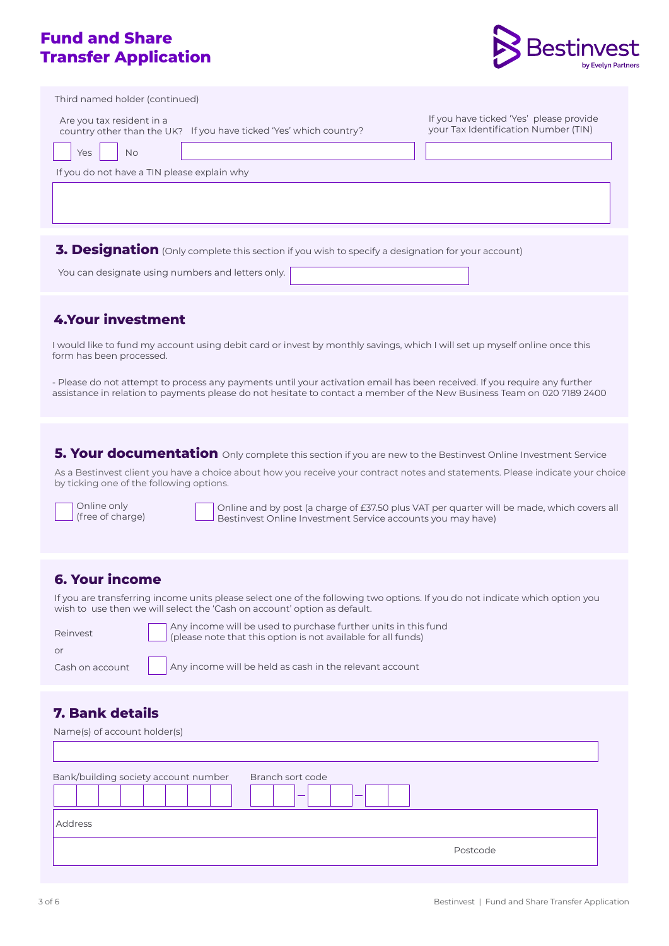# **Fund and Share Transfer Application**



| Third named holder (continued)                                                                  |                                                                                 |
|-------------------------------------------------------------------------------------------------|---------------------------------------------------------------------------------|
| Are you tax resident in a<br>country other than the UK? If you have ticked 'Yes' which country? | If you have ticked 'Yes' please provide<br>your Tax Identification Number (TIN) |
| Yes<br><b>No</b>                                                                                |                                                                                 |
| If you do not have a TIN please explain why                                                     |                                                                                 |
|                                                                                                 |                                                                                 |
|                                                                                                 |                                                                                 |
|                                                                                                 |                                                                                 |

**3. Designation** (Only complete this section if you wish to specify a designation for your account)

You can designate using numbers and letters only.

### **4.Your investment**

I would like to fund my account using debit card or invest by monthly savings, which I will set up myself online once this form has been processed.

- Please do not attempt to process any payments until your activation email has been received. If you require any further assistance in relation to payments please do not hesitate to contact a member of the New Business Team on 020 7189 2400

**5. Your documentation** Only complete this section if you are new to the Bestinvest Online Investment Service

As a Bestinvest client you have a choice about how you receive your contract notes and statements. Please indicate your choice by ticking one of the following options.

Online only (free of charge)

Online and by post (a charge of £37.50 plus VAT per quarter will be made, which covers all  $\Box$  Bestinvest Online Investment Service accounts you may have)

### **6. Your income**

If you are transferring income units please select one of the following two options. If you do not indicate which option you wish to use then we will select the 'Cash on account' option as default.

| Reinvest | Any Inco<br>please r (please) |
|----------|-------------------------------|
| nr       |                               |
|          | $\Delta$ muinne               |

ome will be used to purchase further units in this fund (please note that this option is not available for all funds)

| Thease rible that this option is not available for all fund |  |  |  |  |
|-------------------------------------------------------------|--|--|--|--|
|                                                             |  |  |  |  |

Cash on account Any income will be held as cash in the relevant account

# **7. Bank details**

| Name(s) of account holder(s)         |                        |
|--------------------------------------|------------------------|
|                                      |                        |
| Bank/building society account number | Branch sort code<br>__ |
| Address                              |                        |
|                                      | Postcode               |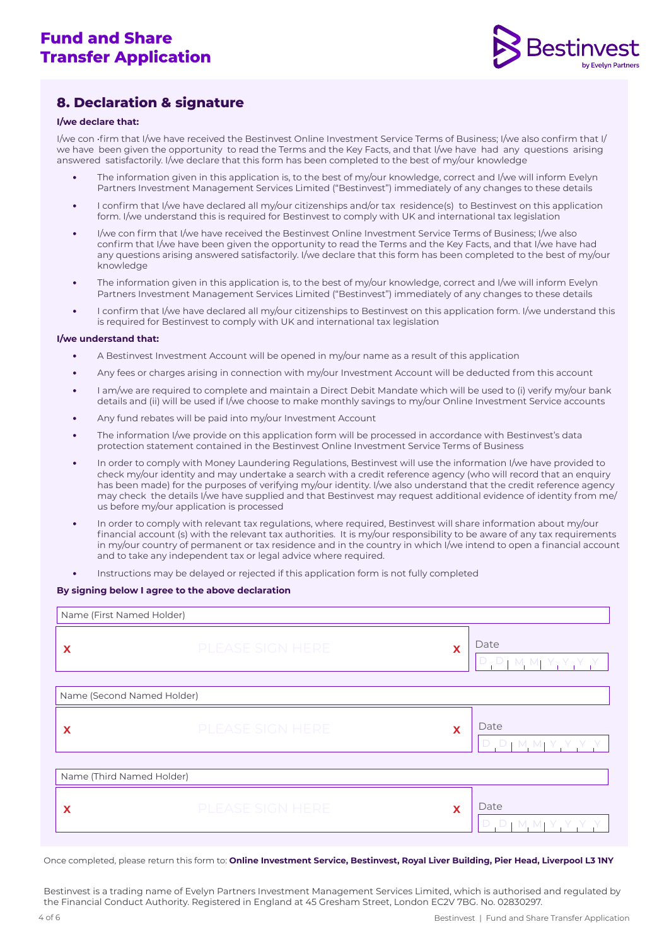

## **8. Declaration & signature**

#### **I/we declare that:**

I/we con •firm that I/we have received the Bestinvest Online Investment Service Terms of Business; I/we also confirm that I/ we have been given the opportunity to read the Terms and the Key Facts, and that I/we have had any questions arising answered satisfactorily. I/we declare that this form has been completed to the best of my/our knowledge

- **•** The information given in this application is, to the best of my/our knowledge, correct and I/we will inform Evelyn Partners Investment Management Services Limited ("Bestinvest") immediately of any changes to these details
- **•** I confirm that I/we have declared all my/our citizenships and/or tax residence(s) to Bestinvest on this application form. I/we understand this is required for Bestinvest to comply with UK and international tax legislation
- **•** I/we con firm that I/we have received the Bestinvest Online Investment Service Terms of Business; I/we also confirm that I/we have been given the opportunity to read the Terms and the Key Facts, and that I/we have had any questions arising answered satisfactorily. I/we declare that this form has been completed to the best of my/our knowledge
- **•** The information given in this application is, to the best of my/our knowledge, correct and I/we will inform Evelyn Partners Investment Management Services Limited ("Bestinvest") immediately of any changes to these details
- **•** I confirm that I/we have declared all my/our citizenships to Bestinvest on this application form. I/we understand this is required for Bestinvest to comply with UK and international tax legislation

#### **I/we understand that:**

- **•** A Bestinvest Investment Account will be opened in my/our name as a result of this application
- **•** Any fees or charges arising in connection with my/our Investment Account will be deducted from this account
- **•** I am/we are required to complete and maintain a Direct Debit Mandate which will be used to (i) verify my/our bank details and (ii) will be used if I/we choose to make monthly savings to my/our Online Investment Service accounts
- **•** Any fund rebates will be paid into my/our Investment Account
- **•** The information I/we provide on this application form will be processed in accordance with Bestinvest's data protection statement contained in the Bestinvest Online Investment Service Terms of Business
- **•** In order to comply with Money Laundering Regulations, Bestinvest will use the information I/we have provided to check my/our identity and may undertake a search with a credit reference agency (who will record that an enquiry has been made) for the purposes of verifying my/our identity. I/we also understand that the credit reference agency may check the details I/we have supplied and that Bestinvest may request additional evidence of identity from me/ us before my/our application is processed
- **•** In order to comply with relevant tax regulations, where required, Bestinvest will share information about my/our financial account (s) with the relevant tax authorities. It is my/our responsibility to be aware of any tax requirements in my/our country of permanent or tax residence and in the country in which I/we intend to open a financial account and to take any independent tax or legal advice where required.
- **•** Instructions may be delayed or rejected if this application form is not fully completed

#### **By signing below I agree to the above declaration**

| Name (First Named Holder)  |                              |   |                                       |  |  |
|----------------------------|------------------------------|---|---------------------------------------|--|--|
| $\boldsymbol{\mathsf{x}}$  | <b>PLEASE SIGN HERE</b><br>X |   | Date<br>D, D, M, M, Y, Y, Y, Y        |  |  |
| Name (Second Named Holder) |                              |   |                                       |  |  |
| PLEASE SIGN HERE<br>X<br>X |                              |   | Date<br>D, D, M, M, Y, Y, Y, Y        |  |  |
| Name (Third Named Holder)  |                              |   |                                       |  |  |
| X                          | PLEASE SIGN HERE             | X | Date<br>$D, D$   M, M   Y, Y, Y, Y, Y |  |  |

Once completed, please return this form to: **Online Investment Service, Bestinvest, Royal Liver Building, Pier Head, Liverpool L3 1NY** 

Bestinvest is a trading name of Evelyn Partners Investment Management Services Limited, which is authorised and regulated by the Financial Conduct Authority. Registered in England at 45 Gresham Street, London EC2V 7BG. No. 02830297.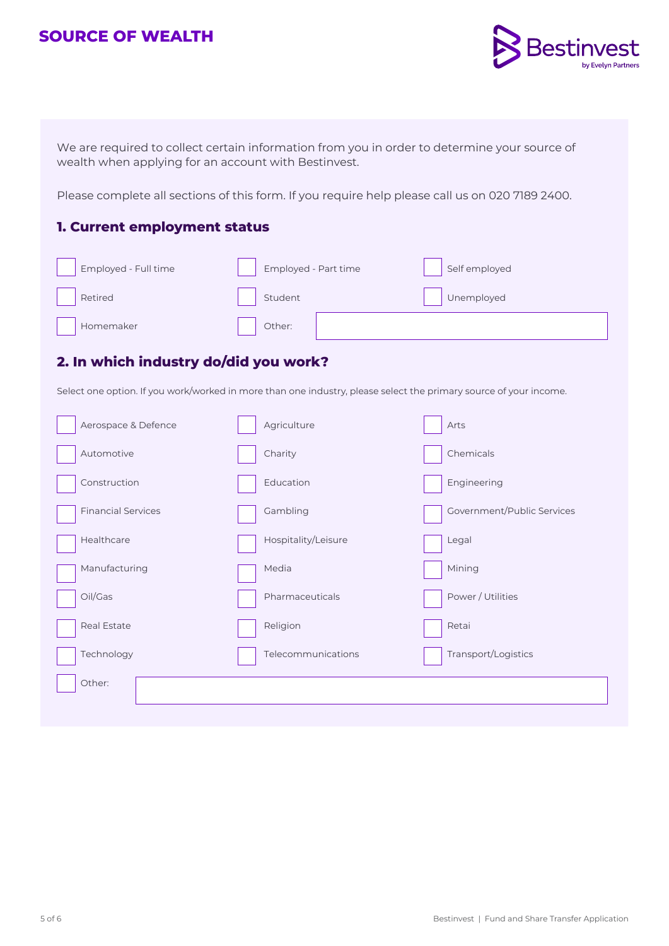# **SOURCE OF WEALTH**



We are required to collect certain information from you in order to determine your source of wealth when applying for an account with Bestinvest.

Please complete all sections of this form. If you require help please call us on 020 7189 2400.

### **1. Current employment status**

| Employed - Full time | Employed - Part time | Self employed |
|----------------------|----------------------|---------------|
| Retired              | Student              | Unemployed    |
| Homemaker            | Other:               |               |

# **2. In which industry do/did you work?**

Select one option. If you work/worked in more than one industry, please select the primary source of your income.

| Chemicals<br>Automotive<br>Charity                                  |  |
|---------------------------------------------------------------------|--|
| Construction<br>Engineering<br>Education                            |  |
| <b>Financial Services</b><br>Government/Public Services<br>Gambling |  |
| Healthcare<br>Hospitality/Leisure<br>Legal                          |  |
| Mining<br>Manufacturing<br>Media                                    |  |
| Oil/Gas<br>Power / Utilities<br>Pharmaceuticals                     |  |
| <b>Real Estate</b><br>Religion<br>Retai                             |  |
| Technology<br>Transport/Logistics<br>Telecommunications             |  |
| Other:                                                              |  |